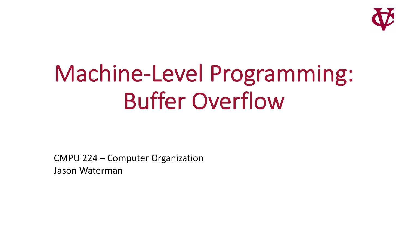

# Machine-Level Programming: Buffer Overflow

CMPU 224 – Computer Organization Jason Waterman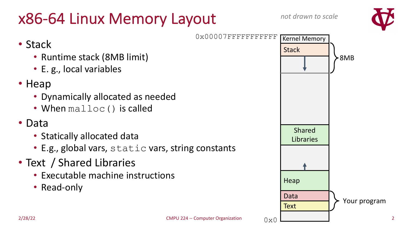## x86-64 Linux Memory Layout



0x00007FFFFFFFFFFF **Stack Text** Data **Heap** 8MB Shared Libraries Kernel Memory Your program

 $0x$ 

### • Stack

- Runtime stack (8MB limit)
- E. g., local variables

### • Heap

- Dynamically allocated as needed
- When malloc() is called

### • Data

- Statically allocated data
- E.g., global vars, static vars, string constants
- Text / Shared Libraries
	- Executable machine instructions
	- Read-only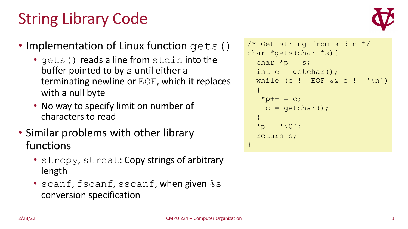# String Library Code



### • Implementation of Linux function gets()

- gets () reads a line from stdin into the buffer pointed to by s until either a terminating newline or EOF, which it replaces with a null byte
- No way to specify limit on number of characters to read
- Similar problems with other library functions
	- strcpy, strcat: Copy strings of arbitrary length
	- scanf, fscanf, sscanf, when given  $\frac{1}{6}$  s conversion specification

```
/* Get string from stdin */
char *gets(char *s){
  char *_{p} = s;
  int c = getchar();
  while (c != EOF && c != '\n)
  { 
   *p++ = c;c = qetchar();
  }
  \star_{\text{D}} = \cdot \setminus 0';
  return s;
}
```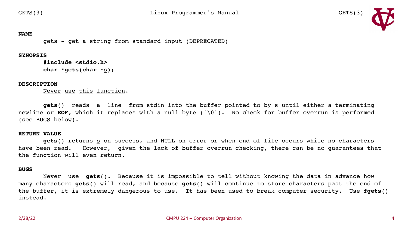

#### **NAME**

gets - get a string from standard input (DEPRECATED)

#### **SYNOPSIS**

**#include <stdio.h> char \*gets(char \***s**);**

#### **DESCRIPTION**

Never use this function.

**gets**() reads a line from stdin into the buffer pointed to by s until either a terminating newline or **EOF**, which it replaces with a null byte ('\0'). No check for buffer overrun is performed (see BUGS below).

#### **RETURN VALUE**

**gets**() returns s on success, and NULL on error or when end of file occurs while no characters have been read. However, given the lack of buffer overrun checking, there can be no guarantees that the function will even return.

#### **BUGS**

Never use **gets**(). Because it is impossible to tell without knowing the data in advance how many characters **gets**() will read, and because **gets**() will continue to store characters past the end of the buffer, it is extremely dangerous to use. It has been used to break computer security. Use **fgets**() instead.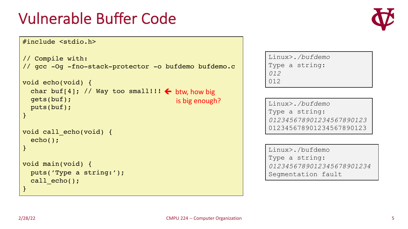### Vulnerable Buffer Code

### #include <stdio.h>

```
// Compile with:
// gcc -Og -fno-stack-protector -o bufdemo bufdemo.c
void echo(void) {
  char buf[4]; // Way too small!!! \leftarrow btw, how big
  gets(buf);
  puts(buf);
}
void call_echo(void) {
  echo();
}
void main(void) {
  puts('Type a string:');
  call echo();
}
                                         is big enough?
```

```
Linux>./bufdemo
Type a string:
012
012
```
Linux>*./bufdemo* Type a string: *012345678901234567890123* 012345678901234567890123

Linux>./bufdemo Type a string: *0123456789012345678901234* Segmentation fault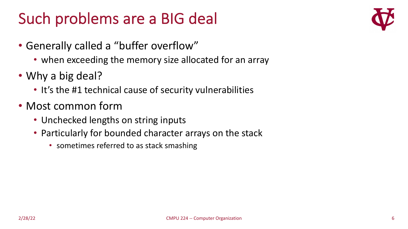## Such problems are a BIG deal

- Generally called a "buffer overflow"
	- when exceeding the memory size allocated for an array
- Why a big deal?
	- It's the #1 technical cause of security vulnerabilities
- Most common form
	- Unchecked lengths on string inputs
	- Particularly for bounded character arrays on the stack
		- sometimes referred to as stack smashing

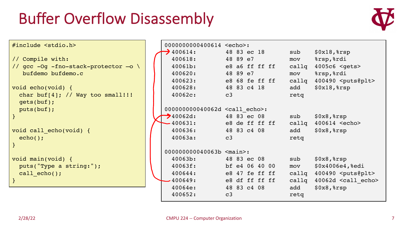### Buffer Overflow Disassembly



| #include <stdio.h></stdio.h>         | 0000000000400614 <echo>:</echo>         |                |       |                              |
|--------------------------------------|-----------------------------------------|----------------|-------|------------------------------|
|                                      | $\bigtriangledown$ 400614:              | 48 83 ec 18    | sub   | $$0x18,$ $$rsp$              |
| // Compile with:                     | 400618:                                 | 48 89 e7       | mov   | %rsp, %rdi                   |
| // gcc -Og -fno-stack-protector -o \ | 40061b:                                 | e8 a6 ff ff ff | callq | 4005c6 <gets></gets>         |
| bufdemo bufdemo.c                    | 400620:                                 | 48 89 e7       | mov   | %rsp, %rdi                   |
|                                      | 400623:                                 | e8 68 fe ff ff | callq | 400490 <puts@plt></puts@plt> |
| void echo(void) {                    | 400628:                                 | 48 83 c4 18    | add   | $$0x18,$ $$rsp$              |
| char buf[4]; // Way too small!!!     | 40062c:                                 | c3             | retq  |                              |
| gets(buf);                           |                                         |                |       |                              |
| puts(buf);                           | 000000000040062d <call echo="">:</call> |                |       |                              |
| $\mathcal{F}$                        | $\rightarrow$ 40062d:                   | 48 83 ec 08    | sub   | $$0x8,$ $$rsp$               |
|                                      | $-400631:$                              | e8 de ff ff ff | callq | 400614 <echo></echo>         |
| void call echo(void) {               | 400636:                                 | 48 83 c4 08    | add   | $$0x8,$ $$rsp$               |
| $echo()$ ;                           | 40063a:                                 | c3             | retq  |                              |
|                                      |                                         |                |       |                              |
|                                      | 000000000040063b <main>:</main>         |                |       |                              |
| void main(void) {                    | 40063b:                                 | 48 83 ec 08    | sub   | $$0x8,$ $$rsp$               |
| puts("Type a string:");              | 40063f:                                 | bf e4 06 40 00 | mov   | \$0x4006e4, %edi             |
| call $echo()$ ;                      | 400644:                                 | e8 47 fe ff ff | callq | 400490 <puts@plt></puts@plt> |
|                                      | 400649:                                 | e8 df ff ff ff | callq | 40062d <call echo=""></call> |
|                                      | 40064e:                                 | 48 83 c4 08    | add   | $$0x8,$ $$rsp$               |
|                                      | 400652:                                 | c3             | retq  |                              |
|                                      |                                         |                |       |                              |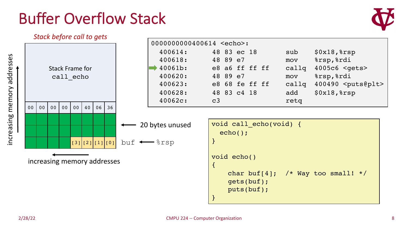

}

puts(buf);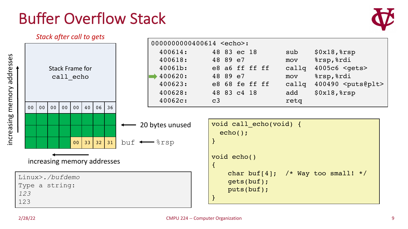

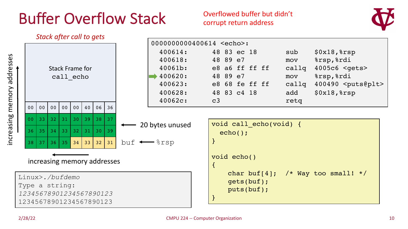### Overflowed buffer but didn't corrupt return address



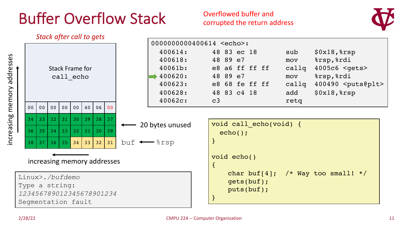### Overflowed buffer and corrupted the return address



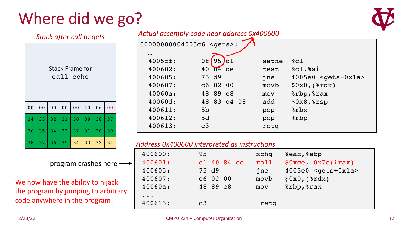# Where did we go?

*Stack after call to gets*



### *Actual assembly code near address 0x400600*

| <b>Stack Frame for</b><br>call echo |                |                |                |                |    |    |                |
|-------------------------------------|----------------|----------------|----------------|----------------|----|----|----------------|
| 0 <sub>0</sub>                      | 0 <sub>0</sub> | 0 <sub>0</sub> | 0 <sub>0</sub> | 0 <sub>0</sub> | 40 | 06 | 0 <sub>0</sub> |
| 34                                  | 33             | 32             | 31             | 30             | 39 | 38 | 37             |
| 36                                  | 35             | 34             | 33             | 32             | 31 | 30 | 39             |
| 38                                  | 37             | 36             | 35             | 34             | 33 | 32 | 31             |

| $\bullet\bullet\bullet$<br>4005ff:<br>95<br>0f<br>8c1<br>setne<br>Jc1<br>%cl, %sil<br>400602:<br>40 84 ce<br>test<br>400605:<br>$4005e0$ <gets+0x1a><br/>75 d9<br/>jne<br/>400607:<br/>\$0x0, (\$xdx)<br/>c6 02 00<br/>movb<br/>%rbp, %rax<br/>40060a:<br/>48 89 e8<br/>mov<br/><math>\$0x8,</math> <math>\$rsp</math><br/>40060d:<br/>48 83 c4 08<br/>add<br/><math>s</math>rbx<br/>5<sub>b</sub></gets+0x1a> | 00000000004005c6 <gets>:</gets> |  |     |  |  |  |
|----------------------------------------------------------------------------------------------------------------------------------------------------------------------------------------------------------------------------------------------------------------------------------------------------------------------------------------------------------------------------------------------------------------|---------------------------------|--|-----|--|--|--|
| 400612:<br>%rbp<br>5d<br>pop<br>400613:<br>C <sub>3</sub><br>retq                                                                                                                                                                                                                                                                                                                                              | 400611:                         |  | pop |  |  |  |

### *Address 0x400600 interpreted as instructions*

| 400600:                                | 95             | xchq | &eax, &ebp                       |
|----------------------------------------|----------------|------|----------------------------------|
| 400601:                                | c1 40 84 ce    | roll | $$0xce, -0x7c ($rax)$            |
| 400605:                                | 75 d9          | jne  | $4005e0$ <gets+0x1a></gets+0x1a> |
| 400607:                                | $C6$ 02 00     | movb | \$0x0, (\$xdx)                   |
| 40060a:                                | 48 89 e8       | mov  | %rbp, %rax                       |
| $\bullet\quad\bullet\quad\bullet\quad$ |                |      |                                  |
| 400613:                                | C <sub>3</sub> | retq |                                  |

### program crashes here

We now have the ability to hijack the program by jumping to arbitrary code anywhere in the program!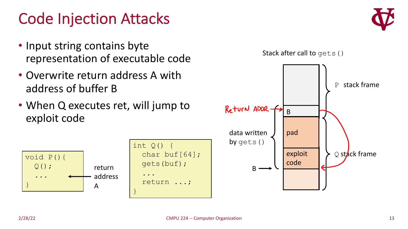### Code Injection Attacks

- Input string contains byte representation of executable code
- Overwrite return address A with address of buffer B
- When Q executes ret, will jump to exploit code



| $int Q()$ {       |
|-------------------|
| char buf $[64]$ ; |
| gets (buf) ;      |
|                   |
| return ;          |
|                   |



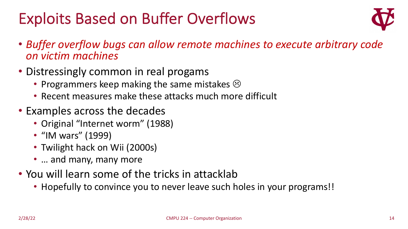# Exploits Based on Buffer Overflows



- *Buffer overflow bugs can allow remote machines to execute arbitrary code on victim machines*
- Distressingly common in real progams
	- Programmers keep making the same mistakes  $\odot$
	- Recent measures make these attacks much more difficult
- Examples across the decades
	- Original "Internet worm" (1988)
	- "IM wars" (1999)
	- Twilight hack on Wii (2000s)
	- ... and many, many more
- You will learn some of the tricks in attacklab
	- Hopefully to convince you to never leave such holes in your programs!!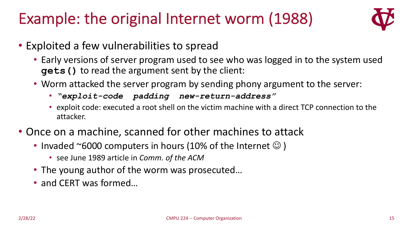# Example: the original Internet worm (1988)



- Exploited a few vulnerabilities to spread
	- Early versions of server program used to see who was logged in to the system used **gets()** to read the argument sent by the client:
	- Worm attacked the server program by sending phony argument to the server:
		- *"exploit-code padding new-return-address"*
		- exploit code: executed a root shell on the victim machine with a direct TCP connection to the attacker.
- Once on a machine, scanned for other machines to attack
	- Invaded  $\sim$  6000 computers in hours (10% of the Internet  $\odot$  )
		- see June 1989 article in *Comm. of the ACM*
	- The young author of the worm was prosecuted…
	- and CERT was formed…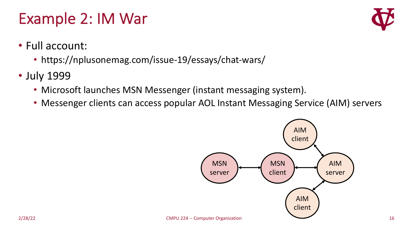### Example 2: IM War



- Full account:
	- https://nplusonemag.com/issue-19/essays/chat-wars/
- July 1999
	- Microsoft launches MSN Messenger (instant messaging system).
	- Messenger clients can access popular AOL Instant Messaging Service (AIM) servers

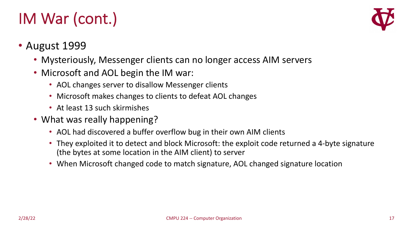# IM War (cont.)



### • August 1999

- Mysteriously, Messenger clients can no longer access AIM servers
- Microsoft and AOL begin the IM war:
	- AOL changes server to disallow Messenger clients
	- Microsoft makes changes to clients to defeat AOL changes
	- At least 13 such skirmishes
- What was really happening?
	- AOL had discovered a buffer overflow bug in their own AIM clients
	- They exploited it to detect and block Microsoft: the exploit code returned a 4-byte signature (the bytes at some location in the AIM client) to server
	- When Microsoft changed code to match signature, AOL changed signature location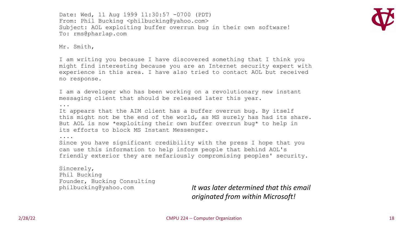Date: Wed, 11 Aug 1999 11:30:57 -0700 (PDT) From: Phil Bucking <philbucking@yahoo.com> Subject: AOL exploiting buffer overrun bug in their own software! To: rms@pharlap.com



Mr. Smith,

I am writing you because I have discovered something that I think you might find interesting because you are an Internet security expert with experience in this area. I have also tried to contact AOL but received no response.

I am a developer who has been working on a revolutionary new instant messaging client that should be released later this year.

...

It appears that the AIM client has a buffer overrun bug. By itself this might not be the end of the world, as MS surely has had its share. But AOL is now \*exploiting their own buffer overrun bug\* to help in its efforts to block MS Instant Messenger.

....

Since you have significant credibility with the press I hope that you can use this information to help inform people that behind AOL's friendly exterior they are nefariously compromising peoples' security.

Sincerely, Phil Bucking Founder, Bucking Consulting

philbucking@yahoo.com *It was later determined that this email originated from within Microsoft!*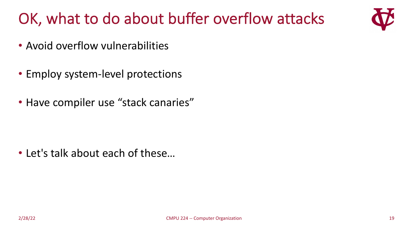# OK, what to do about buffer overflow attacks



- Avoid overflow vulnerabilities
- Employ system-level protections
- Have compiler use "stack canaries"

• Let's talk about each of these…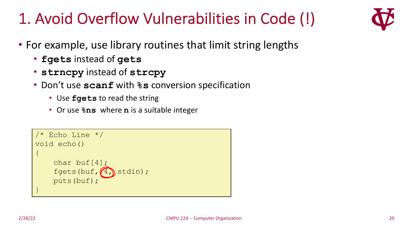# 1. Avoid Overflow Vulnerabilities in Code (!)



- For example, use library routines that limit string lengths
	- **fgets** instead of **gets**
	- **strncpy** instead of **strcpy**
	- Don't use **scanf** with **%s** conversion specification
		- Use **fgets** to read the string
		- Or use **%ns** where **n** is a suitable integer

```
/* Echo Line */
void echo()
\{char buf[4]; 
    fgets(buf, (4) stdin);
    puts(buf);
}
```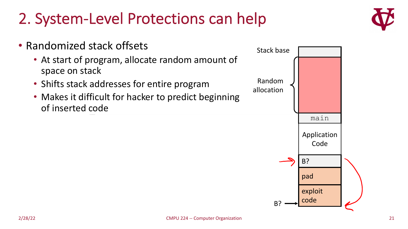# 2. System-Level Protections can help



- Randomized stack offsets • At start of program, allocate random amount of space on stack
	- Shifts stack addresses for entire program
	- Makes it difficult for hacker to predict beginning of inserted code

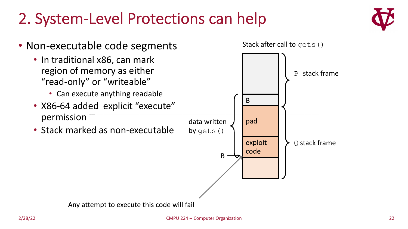### 2. System-Level Protections can help



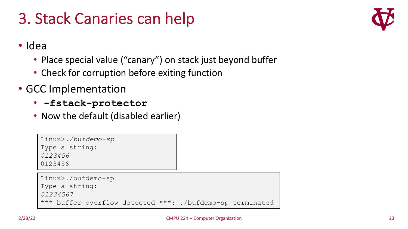# 3. Stack Canaries can help



• Idea

- Place special value ("canary") on stack just beyond buffer
- Check for corruption before exiting function
- GCC Implementation
	- **-fstack-protector**
	- Now the default (disabled earlier)

Linux>*./bufdemo-sp* Type a string: *0123456*

0123456

```
Linux>./bufdemo-sp
Type a string:
01234567
*** buffer overflow detected ***: ./bufdemo-sp terminated
```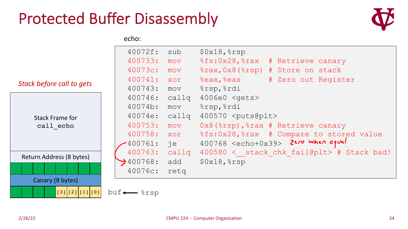### Protected Buffer Disassembly



echo:

|                           | 40072f:                     | sub   | $$0x18,$ $$rsp$                                  |
|---------------------------|-----------------------------|-------|--------------------------------------------------|
|                           | 400733:                     | mov   | %fs:0x28,%rax<br># Retrieve canary               |
|                           | 40073c:                     | mov   | %rax, 0x8 (%rsp) # Store on stack                |
| Stack before call to gets | 400741:                     | XOY   | %eax, %eax<br># Zero out Register                |
|                           | 400743:                     | mov   | %rsp, %rdi                                       |
|                           | 400746:                     | callq | 4006e0 < qets                                    |
|                           | 40074b:                     | mov   | %rsp, %rdi                                       |
| <b>Stack Frame for</b>    | 40074e:                     | callq | 400570 <puts@plt></puts@plt>                     |
| call echo                 | 400753:                     | mov   | $0x8$ ( $8rsp$ ), $8rax$ # Retrieve canary       |
|                           | 400758:                     | XOY   | %fs:0x28,%rax # Compare to stored value          |
|                           | $'400761$ :                 | je    | $400768$ <echo+0x39> 2ero when equal</echo+0x39> |
| Return Address (8 bytes)  | 400763:                     | callq | 400580 < stack chk fail@plt> # Stack bad!        |
|                           | $\bigtriangledown$ 400768:  | add   | $$0x18,$ $$rsp$                                  |
|                           | 40076c:                     | retg  |                                                  |
| Canary (8 bytes)          |                             |       |                                                  |
| (3)[2][1][0]              | $buf \longleftarrow$ $srsp$ |       |                                                  |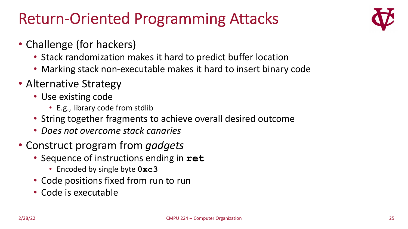## Return-Oriented Programming Attacks



- Challenge (for hackers)
	- Stack randomization makes it hard to predict buffer location
	- Marking stack non-executable makes it hard to insert binary code
- Alternative Strategy
	- Use existing code
		- E.g., library code from stdlib
	- String together fragments to achieve overall desired outcome
	- *Does not overcome stack canaries*
- Construct program from *gadgets*
	- Sequence of instructions ending in **ret**
		- Encoded by single byte **0xc3**
	- Code positions fixed from run to run
	- Code is executable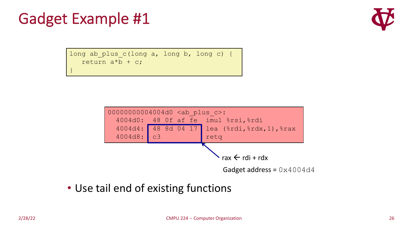## Gadget Example #1

}



long ab\_plus\_c(long a, long b, long c) { return  $a^*b + c$ ;



• Use tail end of existing functions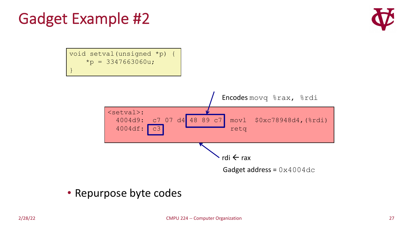# Gadget Example #2



void setval(unsigned \*p) {  $*_{p}$  = 3347663060u; }



### • Repurpose byte codes